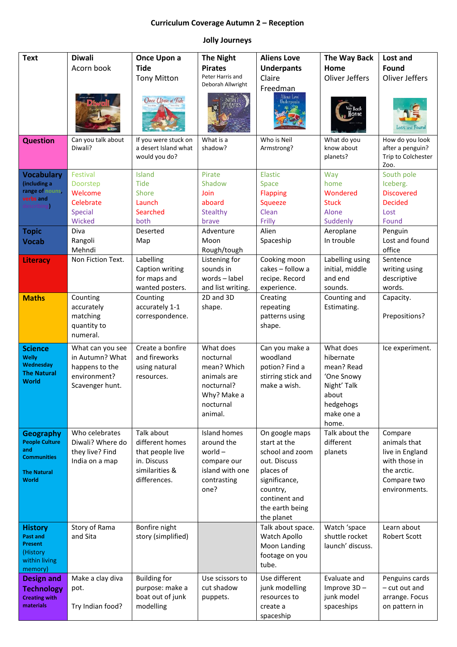## **Curriculum Coverage Autumn 2 – Reception**

## **Jolly Journeys**

| <b>Text</b>                                                                                                  | <b>Diwali</b><br>Acorn book                                                              | Once Upon a<br><b>Tide</b><br><b>Tony Mitton</b><br>Once Upon a Tide                               | <b>The Night</b><br><b>Pirates</b><br>Peter Harris and<br>Deborah Allwright                               | <b>Aliens Love</b><br><b>Underpants</b><br>Claire<br>Freedman<br>Aliens Love<br>Underpants                                                                    | The Way Back<br>Home<br><b>Oliver Jeffers</b><br>Home                                                          | Lost and<br>Found<br>Oliver Jeffers<br>Lost and Found                                                      |
|--------------------------------------------------------------------------------------------------------------|------------------------------------------------------------------------------------------|----------------------------------------------------------------------------------------------------|-----------------------------------------------------------------------------------------------------------|---------------------------------------------------------------------------------------------------------------------------------------------------------------|----------------------------------------------------------------------------------------------------------------|------------------------------------------------------------------------------------------------------------|
| <b>Question</b>                                                                                              | Can you talk about<br>Diwali?                                                            | If you were stuck on<br>a desert Island what<br>would you do?                                      | What is a<br>shadow?                                                                                      | Who is Neil<br>Armstrong?                                                                                                                                     | What do you<br>know about<br>planets?                                                                          | How do you look<br>after a penguin?<br>Trip to Colchester<br>Zoo.                                          |
| <b>Vocabulary</b><br>(including a<br>range of nouns,<br>verbs and<br>describing                              | Festival<br>Doorstep<br>Welcome<br>Celebrate<br><b>Special</b><br>Wicked                 | Island<br><b>Tide</b><br>Shore<br>Launch<br>Searched<br>both                                       | Pirate<br>Shadow<br>Join<br>aboard<br><b>Stealthy</b><br>brave                                            | Elastic<br>Space<br><b>Flapping</b><br>Squeeze<br>Clean<br>Frilly                                                                                             | Way<br>home<br>Wondered<br><b>Stuck</b><br>Alone<br>Suddenly                                                   | South pole<br>Iceberg.<br><b>Discovered</b><br><b>Decided</b><br>Lost<br>Found                             |
| <b>Topic</b><br><b>Vocab</b>                                                                                 | Diva<br>Rangoli<br>Mehndi                                                                | Deserted<br>Map                                                                                    | Adventure<br>Moon<br>Rough/tough                                                                          | Alien<br>Spaceship                                                                                                                                            | Aeroplane<br>In trouble                                                                                        | Penguin<br>Lost and found<br>office                                                                        |
| <b>Literacy</b>                                                                                              | Non Fiction Text.                                                                        | Labelling<br>Caption writing<br>for maps and<br>wanted posters.                                    | Listening for<br>sounds in<br>words-label<br>and list writing.                                            | Cooking moon<br>cakes - follow a<br>recipe. Record<br>experience.                                                                                             | Labelling using<br>initial, middle<br>and end<br>sounds.                                                       | Sentence<br>writing using<br>descriptive<br>words.                                                         |
| <b>Maths</b>                                                                                                 | Counting<br>accurately<br>matching<br>quantity to<br>numeral.                            | Counting<br>accurately 1-1<br>correspondence.                                                      | 2D and 3D<br>shape.                                                                                       | Creating<br>repeating<br>patterns using<br>shape.                                                                                                             | Counting and<br>Estimating.                                                                                    | Capacity.<br>Prepositions?                                                                                 |
| <b>Science</b><br><b>Welly</b><br>Wednesday<br><b>The Natural</b><br>World                                   | What can you see<br>in Autumn? What<br>happens to the<br>environment?<br>Scavenger hunt. | Create a bonfire<br>and fireworks<br>using natural<br>resources.                                   | What does<br>nocturnal<br>mean? Which<br>animals are<br>nocturnal?<br>Why? Make a<br>nocturnal<br>animal. | Can you make a<br>woodland<br>potion? Find a<br>stirring stick and<br>make a wish.                                                                            | What does<br>hibernate<br>mean? Read<br>'One Snowy<br>Night' Talk<br>about<br>hedgehogs<br>make one a<br>home. | Ice experiment.                                                                                            |
| <b>Geography</b><br><b>People Culture</b><br>and<br><b>Communities</b><br><b>The Natural</b><br><b>World</b> | Who celebrates<br>Diwali? Where do<br>they live? Find<br>India on a map                  | Talk about<br>different homes<br>that people live<br>in. Discuss<br>similarities &<br>differences. | Island homes<br>around the<br>world $-$<br>compare our<br>island with one<br>contrasting<br>one?          | On google maps<br>start at the<br>school and zoom<br>out. Discuss<br>places of<br>significance,<br>country,<br>continent and<br>the earth being<br>the planet | Talk about the<br>different<br>planets                                                                         | Compare<br>animals that<br>live in England<br>with those in<br>the arctic.<br>Compare two<br>environments. |
| <b>History</b><br><b>Past and</b><br><b>Present</b><br>(History<br>within living<br>memory)                  | Story of Rama<br>and Sita                                                                | Bonfire night<br>story (simplified)                                                                |                                                                                                           | Talk about space.<br>Watch Apollo<br>Moon Landing<br>footage on you<br>tube.                                                                                  | Watch 'space<br>shuttle rocket<br>launch' discuss.                                                             | Learn about<br><b>Robert Scott</b>                                                                         |
| <b>Design and</b><br><b>Technology</b><br><b>Creating with</b><br>materials                                  | Make a clay diva<br>pot.<br>Try Indian food?                                             | <b>Building for</b><br>purpose: make a<br>boat out of junk<br>modelling                            | Use scissors to<br>cut shadow<br>puppets.                                                                 | Use different<br>junk modelling<br>resources to<br>create a<br>spaceship                                                                                      | Evaluate and<br>Improve 3D-<br>junk model<br>spaceships                                                        | Penguins cards<br>- cut out and<br>arrange. Focus<br>on pattern in                                         |